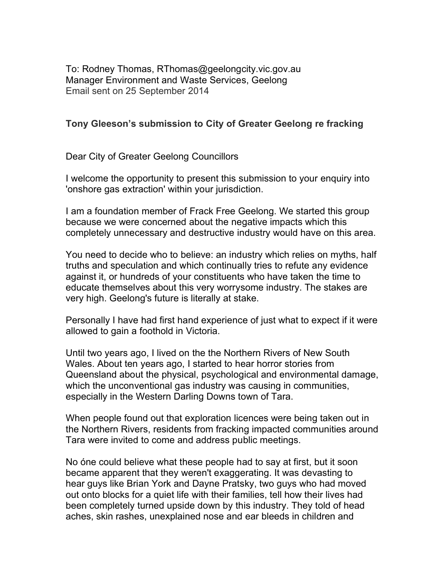To: Rodney Thomas, RThomas@geelongcity.vic.gov.au Manager Environment and Waste Services, Geelong Email sent on 25 September 2014

## **Tony Gleeson's submission to City of Greater Geelong re fracking**

Dear City of Greater Geelong Councillors

I welcome the opportunity to present this submission to your enquiry into 'onshore gas extraction' within your jurisdiction.

I am a foundation member of Frack Free Geelong. We started this group because we were concerned about the negative impacts which this completely unnecessary and destructive industry would have on this area.

You need to decide who to believe: an industry which relies on myths, half truths and speculation and which continually tries to refute any evidence against it, or hundreds of your constituents who have taken the time to educate themselves about this very worrysome industry. The stakes are very high. Geelong's future is literally at stake.

Personally I have had first hand experience of just what to expect if it were allowed to gain a foothold in Victoria.

Until two years ago, I lived on the the Northern Rivers of New South Wales. About ten years ago, I started to hear horror stories from Queensland about the physical, psychological and environmental damage, which the unconventional gas industry was causing in communities, especially in the Western Darling Downs town of Tara.

When people found out that exploration licences were being taken out in the Northern Rivers, residents from fracking impacted communities around Tara were invited to come and address public meetings.

No óne could believe what these people had to say at first, but it soon became apparent that they weren't exaggerating. It was devasting to hear guys like Brian York and Dayne Pratsky, two guys who had moved out onto blocks for a quiet life with their families, tell how their lives had been completely turned upside down by this industry. They told of head aches, skin rashes, unexplained nose and ear bleeds in children and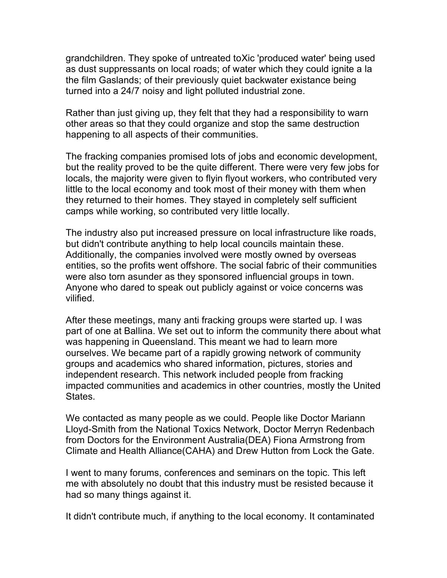grandchildren. They spoke of untreated toXic 'produced water' being used as dust suppressants on local roads; of water which they could ignite a la the film Gaslands; of their previously quiet backwater existance being turned into a 24/7 noisy and light polluted industrial zone.

Rather than just giving up, they felt that they had a responsibility to warn other areas so that they could organize and stop the same destruction happening to all aspects of their communities.

The fracking companies promised lots of jobs and economic development, but the reality proved to be the quite different. There were very few jobs for locals, the majority were given to flyin flyout workers, who contributed very little to the local economy and took most of their money with them when they returned to their homes. They stayed in completely self sufficient camps while working, so contributed very little locally.

The industry also put increased pressure on local infrastructure like roads, but didn't contribute anything to help local councils maintain these. Additionally, the companies involved were mostly owned by overseas entities, so the profits went offshore. The social fabric of their communities were also torn asunder as they sponsored influencial groups in town. Anyone who dared to speak out publicly against or voice concerns was vilified.

After these meetings, many anti fracking groups were started up. I was part of one at Ballina. We set out to inform the community there about what was happening in Queensland. This meant we had to learn more ourselves. We became part of a rapidly growing network of community groups and academics who shared information, pictures, stories and independent research. This network included people from fracking impacted communities and academics in other countries, mostly the United States.

We contacted as many people as we could. People like Doctor Mariann Lloyd-Smith from the National Toxics Network, Doctor Merryn Redenbach from Doctors for the Environment Australia(DEA) Fiona Armstrong from Climate and Health Alliance(CAHA) and Drew Hutton from Lock the Gate.

I went to many forums, conferences and seminars on the topic. This left me with absolutely no doubt that this industry must be resisted because it had so many things against it.

It didn't contribute much, if anything to the local economy. It contaminated